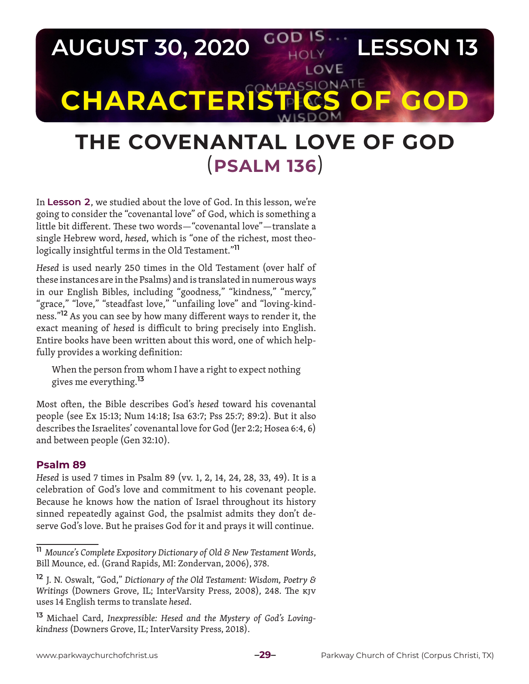

# **THE COVENANTAL LOVE OF GOD** (**PSALM 136**)

In **Lesson 2**, we studied about the love of God. In this lesson, we're going to consider the "covenantal love" of God, which is something a little bit different. These two words—"covenantal love"—translate a single Hebrew word, *hesed*, which is *"*one of the richest, most theologically insightful terms in the Old Testament."**<sup>11</sup>**

*Hesed* is used nearly 250 times in the Old Testament (over half of these instances are in the Psalms) and is translated in numerous ways in our English Bibles, including "goodness," "kindness," "mercy," "grace," "love," "steadfast love," "unfailing love" and "loving-kindness."**12** As you can see by how many different ways to render it, the exact meaning of *hesed* is difficult to bring precisely into English. Entire books have been written about this word, one of which helpfully provides a working definition:

When the person from whom I have a right to expect nothing gives me everything.**<sup>13</sup>**

Most often, the Bible describes God's *hesed* toward his covenantal people (see Ex 15:13; Num 14:18; Isa 63:7; Pss 25:7; 89:2). But it also describes the Israelites' covenantal love for God (Jer 2:2; Hosea 6:4, 6) and between people (Gen 32:10).

### **Psalm 89**

*Hesed* is used 7 times in Psalm 89 (vv. 1, 2, 14, 24, 28, 33, 49). It is a celebration of God's love and commitment to his covenant people. Because he knows how the nation of Israel throughout its history sinned repeatedly against God, the psalmist admits they don't deserve God's love. But he praises God for it and prays it will continue.

**<sup>11</sup>** *Mounce's Complete Expository Dictionary of Old & New Testament Words*, Bill Mounce, ed. (Grand Rapids, MI: Zondervan, 2006), 378.

**<sup>12</sup>** J. N. Oswalt, "God," *Dictionary of the Old Testament: Wisdom, Poetry & Writings* (Downers Grove, IL; InterVarsity Press, 2008), 248. The KJV uses 14 English terms to translate *hesed*.

**<sup>13</sup>** Michael Card, *Inexpressible: Hesed and the Mystery of God's Lovingkindness* (Downers Grove, IL; InterVarsity Press, 2018).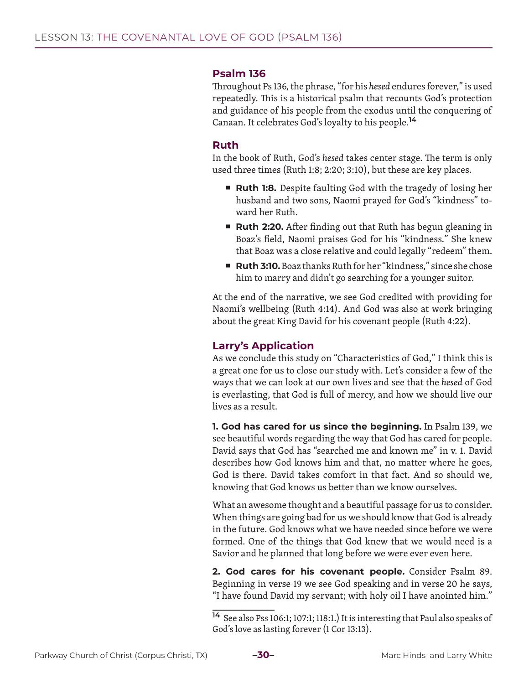#### **Psalm 136**

Throughout Ps 136, the phrase, "for his *hesed* endures forever," is used repeatedly. This is a historical psalm that recounts God's protection and guidance of his people from the exodus until the conquering of Canaan. It celebrates God's loyalty to his people.**<sup>14</sup>**

#### **Ruth**

In the book of Ruth, God's *hesed* takes center stage. The term is only used three times (Ruth 1:8; 2:20; 3:10), but these are key places.

- **Ruth 1:8.** Despite faulting God with the tragedy of losing her husband and two sons, Naomi prayed for God's "kindness" toward her Ruth.
- **Ruth 2:20.** After finding out that Ruth has begun gleaning in Boaz's field, Naomi praises God for his "kindness." She knew that Boaz was a close relative and could legally "redeem" them.
- Ruth 3:10. Boaz thanks Ruth for her "kindness," since she chose him to marry and didn't go searching for a younger suitor.

At the end of the narrative, we see God credited with providing for Naomi's wellbeing (Ruth 4:14). And God was also at work bringing about the great King David for his covenant people (Ruth 4:22).

## **Larry's Application**

As we conclude this study on "Characteristics of God," I think this is a great one for us to close our study with. Let's consider a few of the ways that we can look at our own lives and see that the *hesed* of God is everlasting, that God is full of mercy, and how we should live our lives as a result.

**1. God has cared for us since the beginning.** In Psalm 139, we see beautiful words regarding the way that God has cared for people. David says that God has "searched me and known me" in v. 1. David describes how God knows him and that, no matter where he goes, God is there. David takes comfort in that fact. And so should we, knowing that God knows us better than we know ourselves.

What an awesome thought and a beautiful passage for us to consider. When things are going bad for us we should know that God is already in the future. God knows what we have needed since before we were formed. One of the things that God knew that we would need is a Savior and he planned that long before we were ever even here.

**2. God cares for his covenant people.** Consider Psalm 89. Beginning in verse 19 we see God speaking and in verse 20 he says, "I have found David my servant; with holy oil I have anointed him."



**<sup>14</sup>** See also Pss 106:1; 107:1; 118:1.) It is interesting that Paul also speaks of God's love as lasting forever (1 Cor 13:13).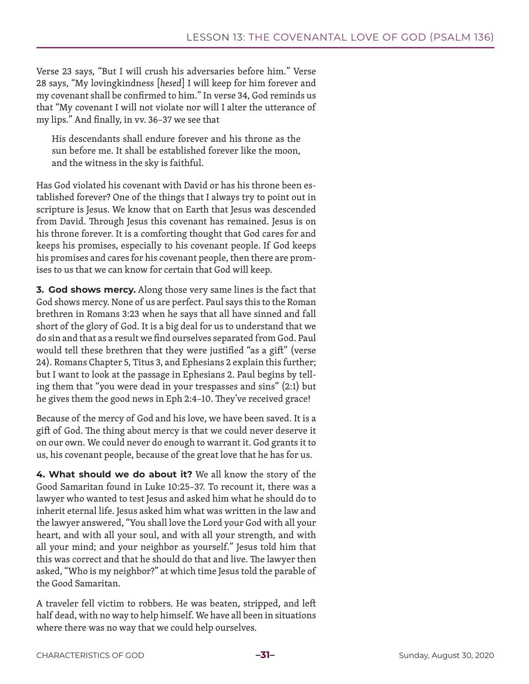Verse 23 says, "But I will crush his adversaries before him." Verse 28 says, "My lovingkindness [*hesed*] I will keep for him forever and my covenant shall be confirmed to him." In verse 34, God reminds us that "My covenant I will not violate nor will I alter the utterance of my lips." And finally, in vv. 36–37 we see that

His descendants shall endure forever and his throne as the sun before me. It shall be established forever like the moon, and the witness in the sky is faithful.

Has God violated his covenant with David or has his throne been established forever? One of the things that I always try to point out in scripture is Jesus. We know that on Earth that Jesus was descended from David. Through Jesus this covenant has remained. Jesus is on his throne forever. It is a comforting thought that God cares for and keeps his promises, especially to his covenant people. If God keeps his promises and cares for his covenant people, then there are promises to us that we can know for certain that God will keep.

**3. God shows mercy.** Along those very same lines is the fact that God shows mercy. None of us are perfect. Paul says this to the Roman brethren in Romans 3:23 when he says that all have sinned and fall short of the glory of God. It is a big deal for us to understand that we do sin and that as a result we find ourselves separated from God. Paul would tell these brethren that they were justified "as a gift" (verse 24). Romans Chapter 5, Titus 3, and Ephesians 2 explain this further; but I want to look at the passage in Ephesians 2. Paul begins by telling them that "you were dead in your trespasses and sins" (2:1) but he gives them the good news in Eph 2:4–10. They've received grace!

Because of the mercy of God and his love, we have been saved. It is a gift of God. The thing about mercy is that we could never deserve it on our own. We could never do enough to warrant it. God grants it to us, his covenant people, because of the great love that he has for us.

**4. What should we do about it?** We all know the story of the Good Samaritan found in Luke 10:25–37. To recount it, there was a lawyer who wanted to test Jesus and asked him what he should do to inherit eternal life. Jesus asked him what was written in the law and the lawyer answered, "You shall love the Lord your God with all your heart, and with all your soul, and with all your strength, and with all your mind; and your neighbor as yourself." Jesus told him that this was correct and that he should do that and live. The lawyer then asked, "Who is my neighbor?" at which time Jesus told the parable of the Good Samaritan.

A traveler fell victim to robbers. He was beaten, stripped, and left half dead, with no way to help himself. We have all been in situations where there was no way that we could help ourselves.